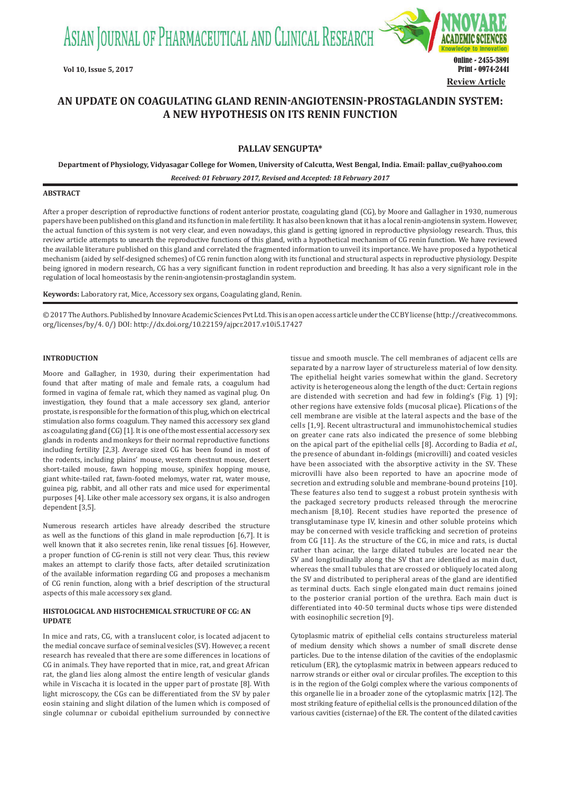ASIAN JOURNAL OF PHARMACEUTICAL AND CLINICAL RESEARCH



# **AN UPDATE ON COAGULATING GLAND RENIN-ANGIOTENSIN-PROSTAGLANDIN SYSTEM: A NEW HYPOTHESIS ON ITS RENIN FUNCTION**

# **PALLAV SENGUPTA\***

**Department of Physiology, Vidyasagar College for Women, University of Calcutta, West Bengal, India. Email: pallav\_cu@yahoo.com**

*Received: 01 February 2017, Revised and Accepted: 18 February 2017*

### **ABSTRACT**

After a proper description of reproductive functions of rodent anterior prostate, coagulating gland (CG), by Moore and Gallagher in 1930, numerous papers have been published on this gland and its function in male fertility. It has also been known that it has a local renin-angiotensin system. However, the actual function of this system is not very clear, and even nowadays, this gland is getting ignored in reproductive physiology research. Thus, this review article attempts to unearth the reproductive functions of this gland, with a hypothetical mechanism of CG renin function. We have reviewed the available literature published on this gland and correlated the fragmented information to unveil its importance. We have proposed a hypothetical mechanism (aided by self-designed schemes) of CG renin function along with its functional and structural aspects in reproductive physiology. Despite being ignored in modern research, CG has a very significant function in rodent reproduction and breeding. It has also a very significant role in the regulation of local homeostasis by the renin-angiotensin-prostaglandin system.

**Keywords:** Laboratory rat, Mice, Accessory sex organs, Coagulating gland, Renin.

© 2017 The Authors. Published by Innovare Academic Sciences Pvt Ltd. This is an open access article under the CC BY license (http://creativecommons. org/licenses/by/4. 0/) DOI: http://dx.doi.org/10.22159/ajpcr.2017.v10i5.17427

# **INTRODUCTION**

Moore and Gallagher, in 1930, during their experimentation had found that after mating of male and female rats, a coagulum had formed in vagina of female rat, which they named as vaginal plug*.* On investigation, they found that a male accessory sex gland, anterior prostate, is responsible for the formation of this plug, which on electrical stimulation also forms coagulum. They named this accessory sex gland as coagulating gland (CG)[1]*.* It is one of the most essential accessory sex glands in rodents and monkeys for their normal reproductive functions including fertility [2,3]. Average sized CG has been found in most of the rodents, including plains' mouse, western chestnut mouse, desert short-tailed mouse, fawn hopping mouse, spinifex hopping mouse, giant white-tailed rat, fawn-footed melomys, water rat, water mouse, guinea pig, rabbit, and all other rats and mice used for experimental purposes [4]. Like other male accessory sex organs, it is also androgen dependent [3,5].

Numerous research articles have already described the structure as well as the functions of this gland in male reproduction [6,7]. It is well known that it also secretes renin, like renal tissues [6]. However, a proper function of CG-renin is still not very clear. Thus, this review makes an attempt to clarify those facts, after detailed scrutinization of the available information regarding CG and proposes a mechanism of CG renin function, along with a brief description of the structural aspects of this male accessory sex gland.

# **HISTOLOGICAL AND HISTOCHEMICAL STRUCTURE OF CG: AN UPDATE**

In mice and rats, CG, with a translucent color, is located adjacent to the medial concave surface of seminal vesicles (SV). However, a recent research has revealed that there are some differences in locations of CG in animals. They have reported that in mice, rat, and great African rat, the gland lies along almost the entire length of vesicular glands while in Viscacha it is located in the upper part of prostate [8]. With light microscopy, the CGs can be differentiated from the SV by paler eosin staining and slight dilation of the lumen which is composed of single columnar or cuboidal epithelium surrounded by connective tissue and smooth muscle. The cell membranes of adjacent cells are separated by a narrow layer of structureless material of low density. The epithelial height varies somewhat within the gland. Secretory activity is heterogeneous along the length of the duct: Certain regions are distended with secretion and had few in folding's (Fig. 1) [9]; other regions have extensive folds (mucosal plicae). Plications of the cell membrane are visible at the lateral aspects and the base of the cells [1,9]. Recent ultrastructural and immunohistochemical studies on greater cane rats also indicated the presence of some blebbing on the apical part of the epithelial cells [8]. According to Badia *et al.*, the presence of abundant in-foldings (microvilli) and coated vesicles have been associated with the absorptive activity in the SV. These microvilli have also been reported to have an apocrine mode of secretion and extruding soluble and membrane-bound proteins [10]. These features also tend to suggest a robust protein synthesis with the packaged secretory products released through the merocrine mechanism [8,10]. Recent studies have reported the presence of transglutaminase type IV, kinesin and other soluble proteins which may be concerned with vesicle trafficking and secretion of proteins from CG [11]. As the structure of the CG, in mice and rats, is ductal rather than acinar, the large dilated tubules are located near the SV and longitudinally along the SV that are identified as main duct, whereas the small tubules that are crossed or obliquely located along the SV and distributed to peripheral areas of the gland are identified as terminal ducts. Each single elongated main duct remains joined to the posterior cranial portion of the urethra. Each main duct is differentiated into 40-50 terminal ducts whose tips were distended with eosinophilic secretion [9].

Cytoplasmic matrix of epithelial cells contains structureless material of medium density which shows a number of small discrete dense particles. Due to the intense dilation of the cavities of the endoplasmic reticulum (ER), the cytoplasmic matrix in between appears reduced to narrow strands or either oval or circular profiles. The exception to this is in the region of the Golgi complex where the various components of this organelle lie in a broader zone of the cytoplasmic matrix [12]. The most striking feature of epithelial cells is the pronounced dilation of the various cavities (cisternae) of the ER. The content of the dilated cavities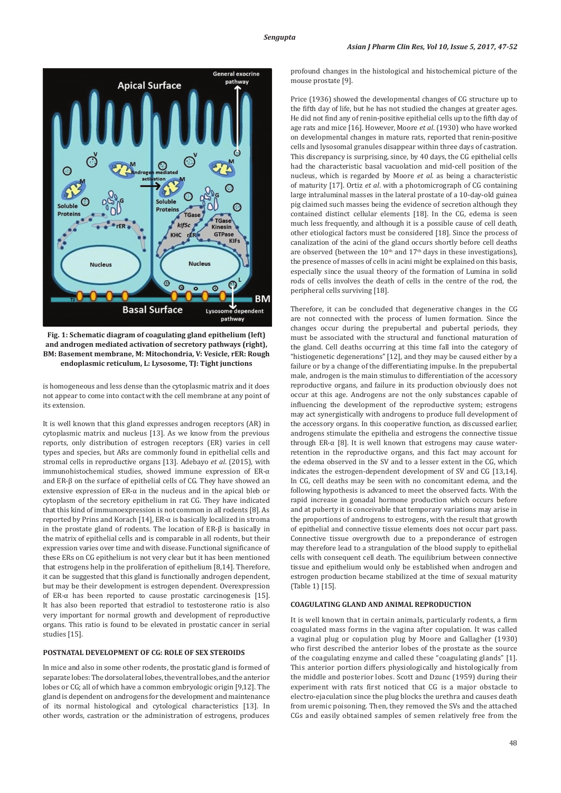

**Fig. 1: Schematic diagram of coagulating gland epithelium (left) and androgen mediated activation of secretory pathways (right), BM: Basement membrane, M: Mitochondria, V: Vesicle, rER: Rough endoplasmic reticulum, L: Lysosome, TJ: Tight junctions**

is homogeneous and less dense than the cytoplasmic matrix and it does not appear to come into contact with the cell membrane at any point of its extension.

It is well known that this gland expresses androgen receptors (AR) in cytoplasmic matrix and nucleus [13]. As we know from the previous reports, only distribution of estrogen receptors (ER) varies in cell types and species, but ARs are commonly found in epithelial cells and stromal cells in reproductive organs [13]. Adebayo *et al*. (2015), with immunohistochemical studies, showed immune expression of ER-α and ER-β on the surface of epithelial cells of CG. They have showed an extensive expression of ER-α in the nucleus and in the apical bleb or cytoplasm of the secretory epithelium in rat CG. They have indicated that this kind of immunoexpression is not common in all rodents [8]. As reported by Prins and Korach [14], ER-α is basically localized in stroma in the prostate gland of rodents. The location of ER-β is basically in the matrix of epithelial cells and is comparable in all rodents, but their expression varies over time and with disease. Functional significance of these ERs on CG epithelium is not very clear but it has been mentioned that estrogens help in the proliferation of epithelium [8,14]. Therefore, it can be suggested that this gland is functionally androgen dependent, but may be their development is estrogen dependent. Overexpression of ER- $\alpha$  has been reported to cause prostatic carcinogenesis [15]. It has also been reported that estradiol to testosterone ratio is also very important for normal growth and development of reproductive organs. This ratio is found to be elevated in prostatic cancer in serial studies [15].

### **POSTNATAL DEVELOPMENT OF CG: ROLE OF SEX STEROIDS**

In mice and also in some other rodents, the prostatic gland is formed of separate lobes: The dorsolateral lobes, the ventral lobes, and the anterior lobes or CG; all of which have a common embryologic origin [9,12]. The gland is dependent on androgens for the development and maintenance of its normal histological and cytological characteristics [13]. In other words, castration or the administration of estrogens, produces

profound changes in the histological and histochemical picture of the mouse prostate [9].

Price (1936) showed the developmental changes of CG structure up to the fifth day of life, but he has not studied the changes at greater ages. He did not find any of renin-positive epithelial cells up to the fifth day of age rats and mice [16]. However, Moore *et al*. (1930) who have worked on developmental changes in mature rats, reported that renin-positive cells and lysosomal granules disappear within three days of castration. This discrepancy is surprising, since, by 40 days, the CG epithelial cells had the characteristic basal vacuolation and mid-cell position of the nucleus, which is regarded by Moore *et al.* as being a characteristic of maturity [17]. Ortiz *et al*. with a photomicrograph of CG containing large intraluminal masses in the lateral prostate of a 10-day-old guinea pig claimed such masses being the evidence of secretion although they contained distinct cellular elements [18]. In the CG, edema is seen much less frequently, and although it is a possible cause of cell death, other etiological factors must be considered [18]. Since the process of canalization of the acini of the gland occurs shortly before cell deaths are observed (between the  $10<sup>th</sup>$  and  $17<sup>th</sup>$  days in these investigations), the presence of masses of cells in acini might be explained on this basis, especially since the usual theory of the formation of Lumina in solid rods of cells involves the death of cells in the centre of the rod, the peripheral cells surviving [18].

Therefore, it can be concluded that degenerative changes in the CG are not connected with the process of lumen formation. Since the changes occur during the prepubertal and pubertal periods, they must be associated with the structural and functional maturation of the gland. Cell deaths occurring at this time fall into the category of "histiogenetic degenerations" [12], and they may be caused either by a failure or by a change of the differentiating impulse. In the prepubertal male, androgen is the main stimulus to differentiation of the accessory reproductive organs, and failure in its production obviously does not occur at this age. Androgens are not the only substances capable of influencing the development of the reproductive system; estrogens may act synergistically with androgens to produce full development of the accessory organs. In this cooperative function, as discussed earlier, androgens stimulate the epithelia and estrogens the connective tissue through ER- $\alpha$  [8]. It is well known that estrogens may cause waterretention in the reproductive organs, and this fact may account for the edema observed in the SV and to a lesser extent in the CG, which indicates the estrogen-dependent development of SV and CG [13,14]. In CG, cell deaths may be seen with no concomitant edema, and the following hypothesis is advanced to meet the observed facts. With the rapid increase in gonadal hormone production which occurs before and at puberty it is conceivable that temporary variations may arise in the proportions of androgens to estrogens, with the result that growth of epithelial and connective tissue elements does not occur part pass. Connective tissue overgrowth due to a preponderance of estrogen may therefore lead to a strangulation of the blood supply to epithelial cells with consequent cell death. The equilibrium between connective tissue and epithelium would only be established when androgen and estrogen production became stabilized at the time of sexual maturity (Table 1) [15].

### **COAGULATING GLAND AND ANIMAL REPRODUCTION**

It is well known that in certain animals, particularly rodents, a firm coagulated mass forms in the vagina after copulation. It was called a vaginal plug or copulation plug by Moore and Gallagher (1930) who first described the anterior lobes of the prostate as the source of the coagulating enzyme and called these "coagulating glands" [1]. This anterior portion differs physiologically and histologically from the middle and posterior lobes. Scott and Dzunc (1959) during their experiment with rats first noticed that CG is a major obstacle to electro-ejaculation since the plug blocks the urethra and causes death from uremic poisoning. Then, they removed the SVs and the attached CGs and easily obtained samples of semen relatively free from the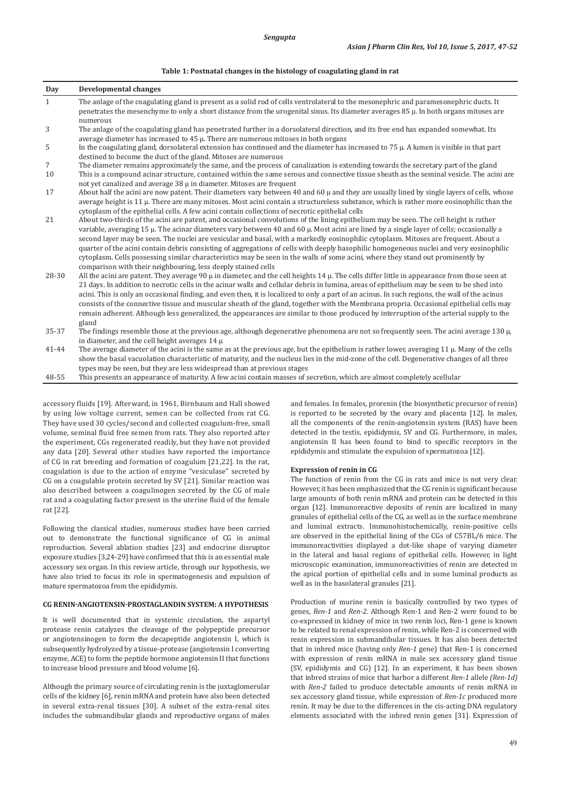#### *Sengupta*

# **Table 1: Postnatal changes in the histology of coagulating gland in rat**

| Day                  | <b>Developmental changes</b>                                                                                                                                                                                                                                                                                                                                                                                                                                                                                                                                                                                                                                                                                                               |  |  |  |  |
|----------------------|--------------------------------------------------------------------------------------------------------------------------------------------------------------------------------------------------------------------------------------------------------------------------------------------------------------------------------------------------------------------------------------------------------------------------------------------------------------------------------------------------------------------------------------------------------------------------------------------------------------------------------------------------------------------------------------------------------------------------------------------|--|--|--|--|
| $\mathbf{1}$         | The anlage of the coagulating gland is present as a solid rod of cells ventrolateral to the mesonephric and paramesonephric ducts. It                                                                                                                                                                                                                                                                                                                                                                                                                                                                                                                                                                                                      |  |  |  |  |
|                      | penetrates the mesenchyme to only a short distance from the urogenital sinus. Its diameter averages 85 µ. In both organs mitoses are<br>numerous                                                                                                                                                                                                                                                                                                                                                                                                                                                                                                                                                                                           |  |  |  |  |
| 3                    | The anlage of the coagulating gland has penetrated further in a dorsolateral direction, and its free end has expanded somewhat. Its                                                                                                                                                                                                                                                                                                                                                                                                                                                                                                                                                                                                        |  |  |  |  |
| 5                    | average diameter has increased to $45 \mu$ . There are numerous mitoses in both organs<br>In the coagulating gland, dorsolateral extension has continued and the diameter has increased to 75 $\mu$ . A lumen is visible in that part                                                                                                                                                                                                                                                                                                                                                                                                                                                                                                      |  |  |  |  |
|                      | destined to become the duct of the gland. Mitoses are numerous                                                                                                                                                                                                                                                                                                                                                                                                                                                                                                                                                                                                                                                                             |  |  |  |  |
| $\overline{7}$<br>10 | The diameter remains approximately the same, and the process of canalization is extending towards the secretary part of the gland<br>This is a compound acinar structure, contained within the same serous and connective tissue sheath as the seminal vesicle. The acini are                                                                                                                                                                                                                                                                                                                                                                                                                                                              |  |  |  |  |
| 17                   | not yet canalized and average $38 \mu$ in diameter. Mitoses are frequent<br>About half the acini are now patent. Their diameters vary between 40 and 60 $\mu$ and they are usually lined by single layers of cells, whose<br>average height is 11 µ. There are many mitoses. Most acini contain a structureless substance, which is rather more eosinophilic than the                                                                                                                                                                                                                                                                                                                                                                      |  |  |  |  |
| 21                   | cytoplasm of the epithelial cells. A few acini contain collections of necrotic epithelial cells<br>About two-thirds of the acini are patent, and occasional convolutions of the lining epithelium may be seen. The cell height is rather<br>variable, averaging 15 μ. The acinar diameters vary between 40 and 60 μ. Most acini are lined by a single layer of cells; occasionally a                                                                                                                                                                                                                                                                                                                                                       |  |  |  |  |
|                      | second layer may be seen. The nuclei are vesicular and basal, with a markedly eosinophilic cytoplasm. Mitoses are frequent. About a<br>quarter of the acini contain debris consisting of aggregations of cells with deeply basophilic homogeneous nuclei and very eosinophilic<br>cytoplasm. Cells possessing similar characteristics may be seen in the walls of some acini, where they stand out prominently by<br>comparison with their neighbouring, less deeply stained cells                                                                                                                                                                                                                                                         |  |  |  |  |
| 28-30                | All the acini are patent. They average 90 $\mu$ in diameter, and the cell heights 14 $\mu$ . The cells differ little in appearance from those seen at<br>21 days. In addition to necrotic cells in the acinar walls and cellular debris in lumina, areas of epithelium may be seen to be shed into<br>acini. This is only an occasional finding, and even then, it is localized to only a part of an acinus. In such regions, the wall of the acinus<br>consists of the connective tissue and muscular sheath of the gland, together with the Membrana propria. Occasional epithelial cells may<br>remain adherent. Although less generalized, the appearances are similar to those produced by interruption of the arterial supply to the |  |  |  |  |
| 35-37                | gland<br>The findings resemble those at the previous age, although degenerative phenomena are not so frequently seen. The acini average 130 $\mu$ ,<br>in diameter, and the cell height averages $14 \mu$                                                                                                                                                                                                                                                                                                                                                                                                                                                                                                                                  |  |  |  |  |

- 41-44 The average diameter of the acini is the same as at the previous age, but the epithelium is rather lower, averaging 11 µ. Many of the cells show the basal vacuolation characteristic of maturity, and the nucleus lies in the mid-zone of the cell. Degenerative changes of all three types may be seen, but they are less widespread than at previous stages
- 48-55 This presents an appearance of maturity. A few acini contain masses of secretion, which are almost completely acellular

accessory fluids [19]. Afterward, in 1961, Birnbaum and Hall showed by using low voltage current, semen can be collected from rat CG. They have used 30 cycles/second and collected coagulum-free, small volume, seminal fluid free semen from rats. They also reported after the experiment, CGs regenerated readily, but they have not provided any data [20]. Several other studies have reported the importance of CG in rat breeding and formation of coagulum [21,22]. In the rat, coagulation is due to the action of enzyme "vesiculase" secreted by CG on a coagulable protein secreted by SV [21]. Similar reaction was also described between a coagulinogen secreted by the CG of male rat and a coagulating factor present in the uterine fluid of the female rat [22].

Following the classical studies, numerous studies have been carried out to demonstrate the functional significance of CG in animal reproduction. Several ablation studies [23] and endocrine disruptor exposure studies [3,24-29] have confirmed that this is an essential male accessory sex organ. In this review article, through our hypothesis, we have also tried to focus its role in spermatogenesis and expulsion of mature spermatozoa from the epididymis.

### **CG RENIN-ANGIOTENSIN-PROSTAGLANDIN SYSTEM: A HYPOTHESIS**

It is well documented that in systemic circulation, the aspartyl protease renin catalyzes the cleavage of the polypeptide precursor or angiotensinogen to form the decapeptide angiotensin I, which is subsequently hydrolyzed by a tissue-protease (angiotensin I converting enzyme, ACE) to form the peptide hormone angiotensin II that functions to increase blood pressure and blood volume [6].

Although the primary source of circulating renin is the juxtaglomerular cells of the kidney [6], renin mRNA and protein have also been detected in several extra-renal tissues [30]. A subset of the extra-renal sites includes the submandibular glands and reproductive organs of males

and females. In females, prorenin (the biosynthetic precursor of renin) is reported to be secreted by the ovary and placenta [12]. In males, all the components of the renin-angiotensin system (RAS) have been detected in the testis, epididymis, SV and CG. Furthermore, in males, angiotensin II has been found to bind to specific receptors in the epididymis and stimulate the expulsion of spermatozoa [12].

### **Expression of renin in CG**

The function of renin from the CG in rats and mice is not very clear. However, it has been emphasized that the CG renin is significant because large amounts of both renin mRNA and protein can be detected in this organ [12]. Immunoreactive deposits of renin are localized in many granules of epithelial cells of the CG, as well as in the surface membrane and luminal extracts. Immunohistochemically, renin-positive cells are observed in the epithelial lining of the CGs of C57BL/6 mice. The immunoreactivities displayed a dot-like shape of varying diameter in the lateral and basal regions of epithelial cells. However, in light microscopic examination, immunoreactivities of renin are detected in the apical portion of epithelial cells and in some luminal products as well as in the basolateral granules [21].

Production of murine renin is basically controlled by two types of genes, *Ren-1* and *Ren-2*. Although Ren-1 and Ren-2 were found to be co-expressed in kidney of mice in two renin loci, Ren-1 gene is known to be related to renal expression of renin, while Ren-2 is concerned with renin expression in submandibular tissues. It has also been detected that in inbred mice (having only *Ren-1* gene) that Ren-1 is concerned with expression of renin mRNA in male sex accessory gland tissue (SV, epididymis and CG) [12]. In an experiment, it has been shown that inbred strains of mice that harbor a different *Ren-1* allele *(Ren-1d)*  with *Ren-2* failed to produce detectable amounts of renin mRNA in sex accessory gland tissue, while expression of *Ren-1c* produced more renin. It may be due to the differences in the cis-acting DNA regulatory elements associated with the inbred renin genes [31]. Expression of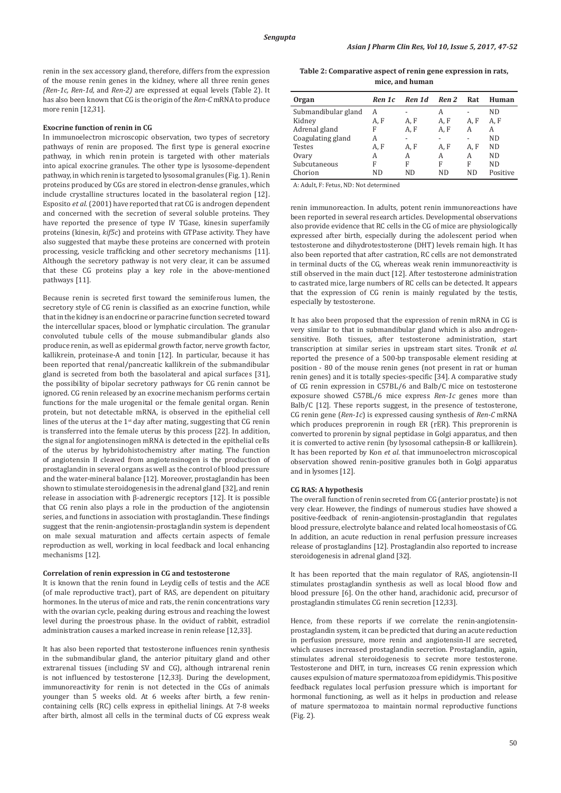renin in the sex accessory gland, therefore, differs from the expression of the mouse renin genes in the kidney, where all three renin genes *(Ren-1c, Ren-1d,* and *Ren-2)* are expressed at equal levels (Table 2). It has also been known that CG is the origin of the *Ren-C* mRNA to produce more renin [12,31].

### **Exocrine function of renin in CG**

In immunoelectron microscopic observation, two types of secretory pathways of renin are proposed. The first type is general exocrine pathway, in which renin protein is targeted with other materials into apical exocrine granules. The other type is lysosome-dependent pathway, in which renin is targeted to lysosomal granules (Fig. 1). Renin proteins produced by CGs are stored in electron-dense granules, which include crystalline structures located in the basolateral region [12]. Esposito *et al*. (2001) have reported that rat CG is androgen dependent and concerned with the secretion of several soluble proteins. They have reported the presence of type IV TGase, kinesin superfamily proteins (kinesin, *kif5c*) and proteins with GTPase activity. They have also suggested that maybe these proteins are concerned with protein processing, vesicle trafficking and other secretory mechanisms [11]. Although the secretory pathway is not very clear, it can be assumed that these CG proteins play a key role in the above-mentioned pathways [11].

Because renin is secreted first toward the seminiferous lumen, the secretory style of CG renin is classified as an exocrine function, while that in the kidney is an endocrine or paracrine function secreted toward the intercellular spaces, blood or lymphatic circulation. The granular convoluted tubule cells of the mouse submandibular glands also produce renin, as well as epidermal growth factor, nerve growth factor, kallikrein, proteinase-A and tonin [12]. In particular, because it has been reported that renal/pancreatic kallikrein of the submandibular gland is secreted from both the basolateral and apical surfaces [31], the possibility of bipolar secretory pathways for CG renin cannot be ignored. CG renin released by an exocrine mechanism performs certain functions for the male urogenital or the female genital organ. Renin protein, but not detectable mRNA, is observed in the epithelial cell lines of the uterus at the  $1<sup>st</sup>$  day after mating, suggesting that CG renin is transferred into the female uterus by this process [22]. In addition, the signal for angiotensinogen mRNA is detected in the epithelial cells of the uterus by hybridohistochemistry after mating. The function of angiotensin II cleaved from angiotensinogen is the production of prostaglandin in several organs as well as the control of blood pressure and the water-mineral balance [12]. Moreover, prostaglandin has been shown to stimulate steroidogenesis in the adrenal gland [32], and renin release in association with β-adrenergic receptors [12]. It is possible that CG renin also plays a role in the production of the angiotensin series, and functions in association with prostaglandin. These findings suggest that the renin-angiotensin-prostaglandin system is dependent on male sexual maturation and affects certain aspects of female reproduction as well, working in local feedback and local enhancing mechanisms [12].

### **Correlation of renin expression in CG and testosterone**

It is known that the renin found in Leydig cells of testis and the ACE (of male reproductive tract), part of RAS, are dependent on pituitary hormones. In the uterus of mice and rats, the renin concentrations vary with the ovarian cycle, peaking during estrous and reaching the lowest level during the proestrous phase. In the oviduct of rabbit, estradiol administration causes a marked increase in renin release [12,33].

It has also been reported that testosterone influences renin synthesis in the submandibular gland, the anterior pituitary gland and other extrarenal tissues (including SV and CG), although intrarenal renin is not influenced by testosterone [12,33]. During the development, immunoreactivity for renin is not detected in the CGs of animals younger than 5 weeks old. At 6 weeks after birth, a few renincontaining cells (RC) cells express in epithelial linings. At 7-8 weeks after birth, almost all cells in the terminal ducts of CG express weak

**Table 2: Comparative aspect of renin gene expression in rats, mice, and human**

| <b>Organ</b>        | Ren 1c | Ren 1d | Ren 2 | Rat                      | Human          |
|---------------------|--------|--------|-------|--------------------------|----------------|
| Submandibular gland | А      |        | A     | -                        | ND             |
| Kidney              | A, F   | A, F   | A, F  | A, F                     | A, F           |
| Adrenal gland       | F      | A, F   | A, F  | А                        | А              |
| Coagulating gland   | А      |        |       | $\overline{\phantom{0}}$ | ND.            |
| <b>Testes</b>       | A, F   | A, F   | A, F  | A, F                     | N <sub>D</sub> |
| Ovary               | А      | А      | А     | А                        | ND.            |
| Subcutaneous        | F      | F      | F     | F                        | ND.            |
| Chorion             | ND     | ND     | ND.   | ND.                      | Positive       |

A: Adult, F: Fetus, ND: Not determined

renin immunoreaction. In adults, potent renin immunoreactions have been reported in several research articles. Developmental observations also provide evidence that RC cells in the CG of mice are physiologically expressed after birth, especially during the adolescent period when testosterone and dihydrotestosterone (DHT) levels remain high. It has also been reported that after castration, RC cells are not demonstrated in terminal ducts of the CG, whereas weak renin immunoreactivity is still observed in the main duct [12]. After testosterone administration to castrated mice, large numbers of RC cells can be detected. It appears that the expression of CG renin is mainly regulated by the testis, especially by testosterone.

It has also been proposed that the expression of renin mRNA in CG is very similar to that in submandibular gland which is also androgensensitive. Both tissues, after testosterone administration, start transcription at similar series in upstream start sites. Tronik *et al*. reported the presence of a 500-bp transposable element residing at position - 80 of the mouse renin genes (not present in rat or human renin genes) and it is totally species-specific [34]. A comparative study of CG renin expression in C57BL/6 and Balb/C mice on testosterone exposure showed C57BL/6 mice express *Ren-1c* genes more than Balb/C [12]. These reports suggest, in the presence of testosterone, CG renin gene (*Ren-1c*) is expressed causing synthesis of *Ren-C* mRNA which produces preprorenin in rough ER (rER). This preprorenin is converted to prorenin by signal peptidase in Golgi apparatus, and then it is converted to active renin (by lysosomal cathepsin-B or kallikrein). It has been reported by Kon *et al*. that immunoelectron microscopical observation showed renin-positive granules both in Golgi apparatus and in lysomes [12].

### **CG RAS: A hypothesis**

The overall function of renin secreted from CG (anterior prostate) is not very clear. However, the findings of numerous studies have showed a positive-feedback of renin-angiotensin-prostaglandin that regulates blood pressure, electrolyte balance and related local homeostasis of CG. In addition, an acute reduction in renal perfusion pressure increases release of prostaglandins [12]. Prostaglandin also reported to increase steroidogenesis in adrenal gland [32].

It has been reported that the main regulator of RAS, angiotensin-II stimulates prostaglandin synthesis as well as local blood flow and blood pressure [6]. On the other hand, arachidonic acid, precursor of prostaglandin stimulates CG renin secretion [12,33].

Hence, from these reports if we correlate the renin-angiotensinprostaglandin system, it can be predicted that during an acute reduction in perfusion pressure, more renin and angiotensin-II are secreted, which causes increased prostaglandin secretion. Prostaglandin, again, stimulates adrenal steroidogenesis to secrete more testosterone. Testosterone and DHT, in turn, increases CG renin expression which causes expulsion of mature spermatozoa from epididymis. This positive feedback regulates local perfusion pressure which is important for hormonal functioning, as well as it helps in production and release of mature spermatozoa to maintain normal reproductive functions (Fig. 2).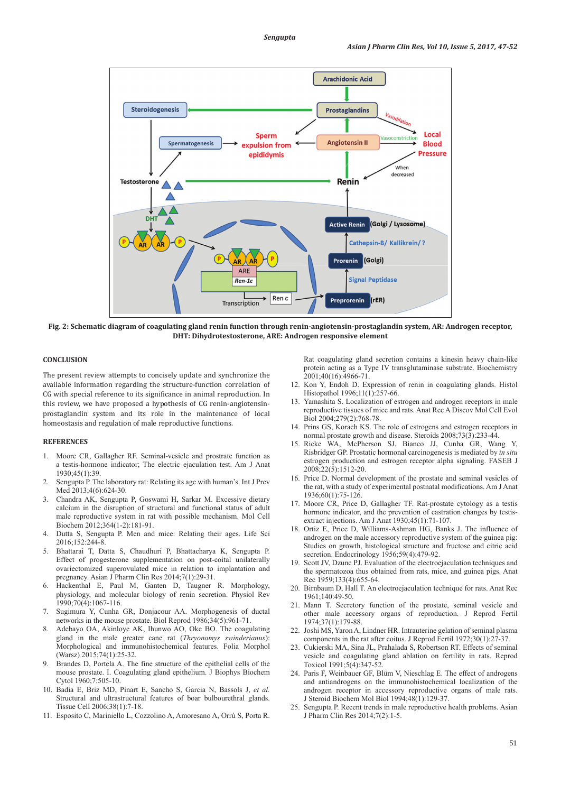

**Fig. 2: Schematic diagram of coagulating gland renin function through renin-angiotensin-prostaglandin system, AR: Androgen receptor, DHT: Dihydrotestosterone, ARE: Androgen responsive element**

### **CONCLUSION**

The present review attempts to concisely update and synchronize the available information regarding the structure-function correlation of CG with special reference to its significance in animal reproduction. In this review, we have proposed a hypothesis of CG renin-angiotensinprostaglandin system and its role in the maintenance of local homeostasis and regulation of male reproductive functions.

### **REFERENCES**

- 1. Moore CR, Gallagher RF. Seminal-vesicle and prostrate function as a testis-hormone indicator; The electric ejaculation test. Am J Anat 1930;45(1):39.
- 2. Sengupta P. The laboratory rat: Relating its age with human's. Int J Prev Med 2013;4(6):624-30.
- 3. Chandra AK, Sengupta P, Goswami H, Sarkar M. Excessive dietary calcium in the disruption of structural and functional status of adult male reproductive system in rat with possible mechanism. Mol Cell Biochem 2012;364(1-2):181-91.
- 4. Dutta S, Sengupta P. Men and mice: Relating their ages. Life Sci 2016;152:244-8.
- 5. Bhattarai T, Datta S, Chaudhuri P, Bhattacharya K, Sengupta P. Effect of progesterone supplementation on post-coital unilaterally ovariectomized superovulated mice in relation to implantation and pregnancy. Asian J Pharm Clin Res 2014;7(1):29-31.
- 6. Hackenthal E, Paul M, Ganten D, Taugner R. Morphology, physiology, and molecular biology of renin secretion. Physiol Rev 1990;70(4):1067-116.
- 7. Sugimura Y, Cunha GR, Donjacour AA. Morphogenesis of ductal networks in the mouse prostate. Biol Reprod 1986;34(5):961-71.
- 8. Adebayo OA, Akinloye AK, Ihunwo AO, Oke BO. The coagulating gland in the male greater cane rat (*Thryonomys swinderianus*): Morphological and immunohistochemical features. Folia Morphol (Warsz) 2015;74(1):25-32.
- 9. Brandes D, Portela A. The fine structure of the epithelial cells of the mouse prostate. I. Coagulating gland epithelium. J Biophys Biochem Cytol 1960;7:505-10.
- 10. Badia E, Briz MD, Pinart E, Sancho S, Garcia N, Bassols J, *et al.* Structural and ultrastructural features of boar bulbourethral glands. Tissue Cell 2006;38(1):7-18.
- 11. Esposito C, Mariniello L, Cozzolino A, Amoresano A, Orrù S, Porta R.

Rat coagulating gland secretion contains a kinesin heavy chain-like protein acting as a Type IV transglutaminase substrate. Biochemistry  $2001;40(16):4966-71.$ 

- 12. Kon Y, Endoh D. Expression of renin in coagulating glands. Histol Histopathol 1996;11(1):257-66.
- 13. Yamashita S. Localization of estrogen and androgen receptors in male reproductive tissues of mice and rats. Anat Rec A Discov Mol Cell Evol Biol 2004;279(2):768-78.
- 14. Prins GS, Korach KS. The role of estrogens and estrogen receptors in normal prostate growth and disease. Steroids 2008;73(3):233-44.
- 15. Ricke WA, McPherson SJ, Bianco JJ, Cunha GR, Wang Y, Risbridger GP. Prostatic hormonal carcinogenesis is mediated by *in situ* estrogen production and estrogen receptor alpha signaling. FASEB J 2008;22(5):1512-20.
- 16. Price D. Normal development of the prostate and seminal vesicles of the rat, with a study of experimental postnatal modifications. Am J Anat 1936;60(1):75-126.
- 17. Moore CR, Price D, Gallagher TF. Rat-prostate cytology as a testis hormone indicator, and the prevention of castration changes by testisextract injections. Am J Anat 1930;45(1):71-107.
- 18. Ortiz E, Price D, Williams-Ashman HG, Banks J. The influence of androgen on the male accessory reproductive system of the guinea pig: Studies on growth, histological structure and fructose and citric acid secretion. Endocrinology 1956;59(4):479-92.
- 19. Scott JV, Dzunc PJ. Evaluation of the electroejaculation techniques and the spermatozoa thus obtained from rats, mice, and guinea pigs. Anat Rec 1959;133(4):655-64.
- 20. Birnbaum D, Hall T. An electroejaculation technique for rats. Anat Rec 1961;140:49-50.
- 21. Mann T. Secretory function of the prostate, seminal vesicle and other male accessory organs of reproduction. J Reprod Fertil 1974;37(1):179-88.
- 22. Joshi MS, Yaron A, Lindner HR. Intrauterine gelation of seminal plasma components in the rat after coitus. J Reprod Fertil 1972;30(1):27-37.
- 23. Cukierski MA, Sina JL, Prahalada S, Robertson RT. Effects of seminal vesicle and coagulating gland ablation on fertility in rats. Reprod Toxicol 1991;5(4):347-52.
- 24. Paris F, Weinbauer GF, Blüm V, Nieschlag E. The effect of androgens and antiandrogens on the immunohistochemical localization of the androgen receptor in accessory reproductive organs of male rats. J Steroid Biochem Mol Biol 1994;48(1):129-37.
- 25. Sengupta P. Recent trends in male reproductive health problems. Asian J Pharm Clin Res 2014;7(2):1-5.